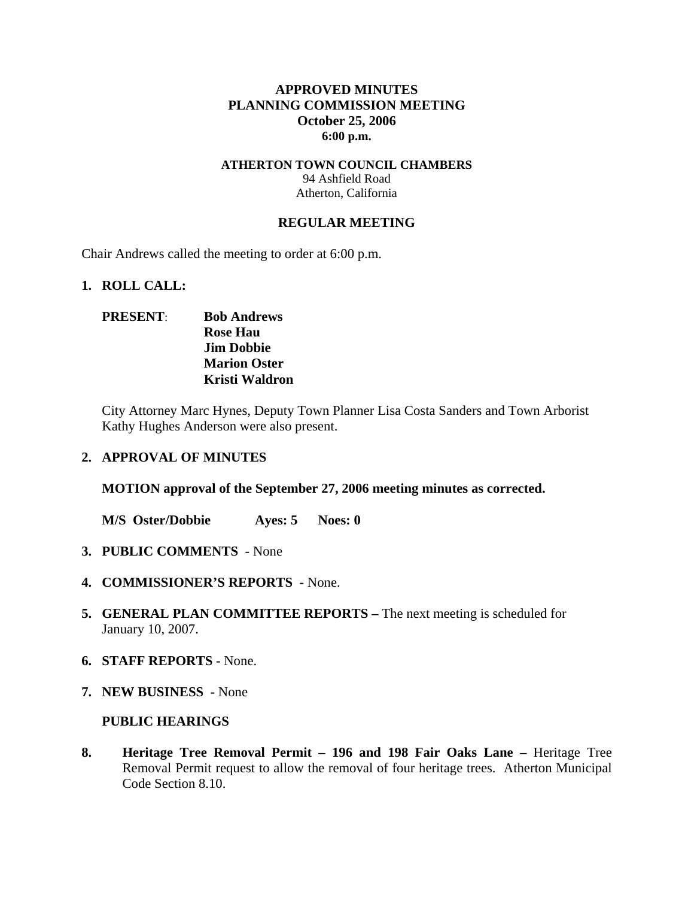### **APPROVED MINUTES PLANNING COMMISSION MEETING October 25, 2006 6:00 p.m.**

#### **ATHERTON TOWN COUNCIL CHAMBERS**  94 Ashfield Road Atherton, California

#### **REGULAR MEETING**

Chair Andrews called the meeting to order at 6:00 p.m.

#### **1. ROLL CALL:**

### **PRESENT**: **Bob Andrews Rose Hau Jim Dobbie Marion Oster Kristi Waldron**

City Attorney Marc Hynes, Deputy Town Planner Lisa Costa Sanders and Town Arborist Kathy Hughes Anderson were also present.

#### **2. APPROVAL OF MINUTES**

**MOTION approval of the September 27, 2006 meeting minutes as corrected.** 

**M/S Oster/Dobbie Ayes: 5 Noes: 0** 

- **3. PUBLIC COMMENTS** None
- **4. COMMISSIONER'S REPORTS -** None.
- **5. GENERAL PLAN COMMITTEE REPORTS** The next meeting is scheduled for January 10, 2007.
- **6. STAFF REPORTS** None.
- **7. NEW BUSINESS** None

#### **PUBLIC HEARINGS**

**8. Heritage Tree Removal Permit – 196 and 198 Fair Oaks Lane –** Heritage Tree Removal Permit request to allow the removal of four heritage trees. Atherton Municipal Code Section 8.10.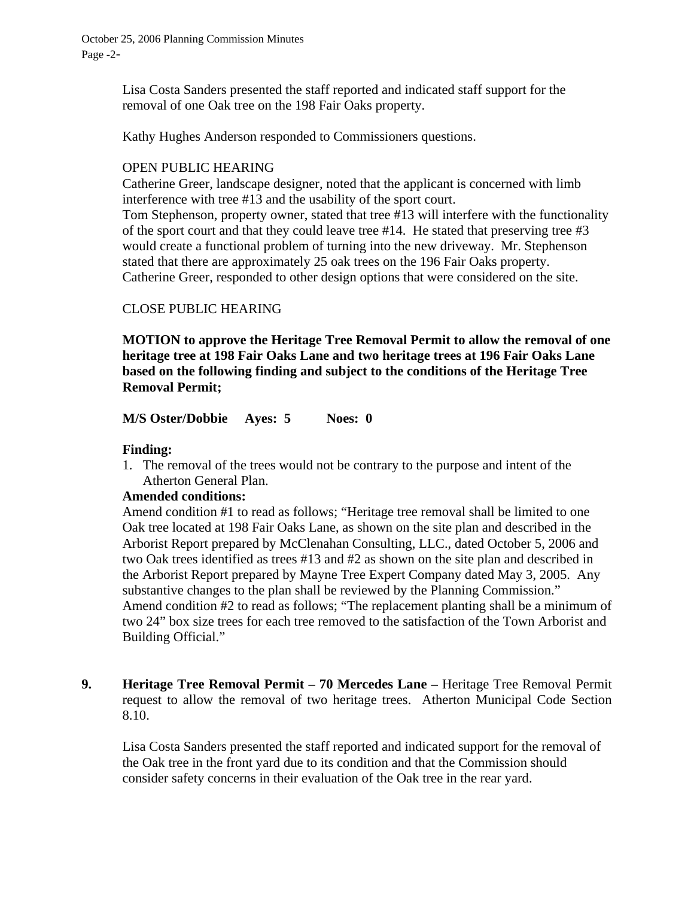Lisa Costa Sanders presented the staff reported and indicated staff support for the removal of one Oak tree on the 198 Fair Oaks property.

Kathy Hughes Anderson responded to Commissioners questions.

# OPEN PUBLIC HEARING

Catherine Greer, landscape designer, noted that the applicant is concerned with limb interference with tree #13 and the usability of the sport court.

Tom Stephenson, property owner, stated that tree #13 will interfere with the functionality of the sport court and that they could leave tree #14. He stated that preserving tree #3 would create a functional problem of turning into the new driveway. Mr. Stephenson stated that there are approximately 25 oak trees on the 196 Fair Oaks property. Catherine Greer, responded to other design options that were considered on the site.

# CLOSE PUBLIC HEARING

**MOTION to approve the Heritage Tree Removal Permit to allow the removal of one heritage tree at 198 Fair Oaks Lane and two heritage trees at 196 Fair Oaks Lane based on the following finding and subject to the conditions of the Heritage Tree Removal Permit;** 

**M/S Oster/Dobbie Ayes: 5 Noes: 0** 

# **Finding:**

1. The removal of the trees would not be contrary to the purpose and intent of the Atherton General Plan.

# **Amended conditions:**

Amend condition #1 to read as follows; "Heritage tree removal shall be limited to one Oak tree located at 198 Fair Oaks Lane, as shown on the site plan and described in the Arborist Report prepared by McClenahan Consulting, LLC., dated October 5, 2006 and two Oak trees identified as trees #13 and #2 as shown on the site plan and described in the Arborist Report prepared by Mayne Tree Expert Company dated May 3, 2005. Any substantive changes to the plan shall be reviewed by the Planning Commission." Amend condition #2 to read as follows; "The replacement planting shall be a minimum of two 24" box size trees for each tree removed to the satisfaction of the Town Arborist and Building Official."

**9. Heritage Tree Removal Permit – 70 Mercedes Lane –** Heritage Tree Removal Permit request to allow the removal of two heritage trees. Atherton Municipal Code Section 8.10.

Lisa Costa Sanders presented the staff reported and indicated support for the removal of the Oak tree in the front yard due to its condition and that the Commission should consider safety concerns in their evaluation of the Oak tree in the rear yard.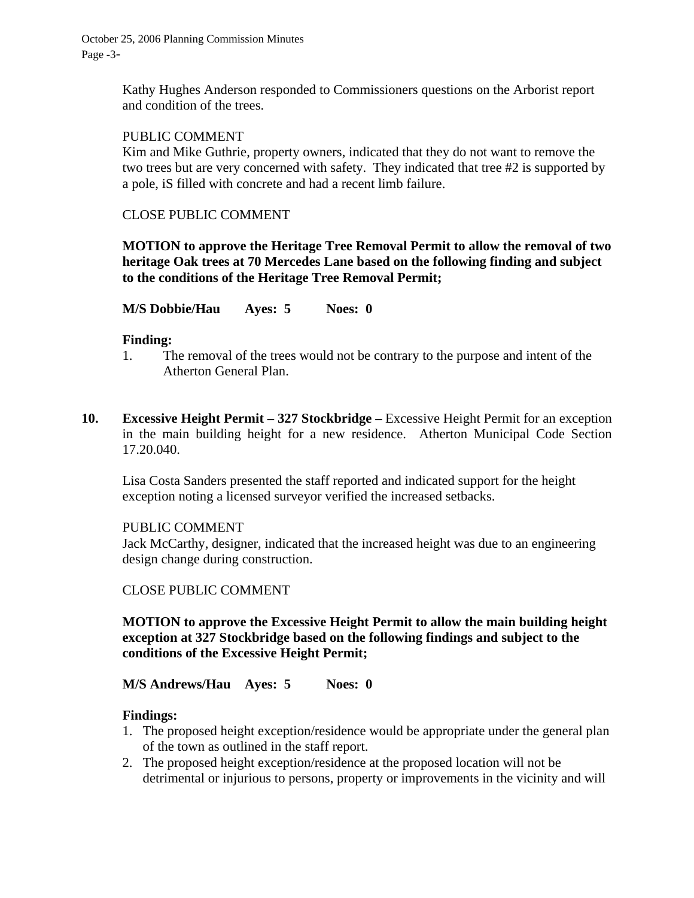Kathy Hughes Anderson responded to Commissioners questions on the Arborist report and condition of the trees.

### PUBLIC COMMENT

Kim and Mike Guthrie, property owners, indicated that they do not want to remove the two trees but are very concerned with safety. They indicated that tree #2 is supported by a pole, iS filled with concrete and had a recent limb failure.

# CLOSE PUBLIC COMMENT

**MOTION to approve the Heritage Tree Removal Permit to allow the removal of two heritage Oak trees at 70 Mercedes Lane based on the following finding and subject to the conditions of the Heritage Tree Removal Permit;** 

**M/S Dobbie/Hau Ayes: 5 Noes: 0** 

### **Finding:**

- 1. The removal of the trees would not be contrary to the purpose and intent of the Atherton General Plan.
- **10. Excessive Height Permit 327 Stockbridge Excessive Height Permit for an exception** in the main building height for a new residence. Atherton Municipal Code Section 17.20.040.

Lisa Costa Sanders presented the staff reported and indicated support for the height exception noting a licensed surveyor verified the increased setbacks.

### PUBLIC COMMENT

Jack McCarthy, designer, indicated that the increased height was due to an engineering design change during construction.

# CLOSE PUBLIC COMMENT

### **MOTION to approve the Excessive Height Permit to allow the main building height exception at 327 Stockbridge based on the following findings and subject to the conditions of the Excessive Height Permit;**

### **M/S Andrews/Hau Ayes: 5 Noes: 0**

### **Findings:**

- 1. The proposed height exception/residence would be appropriate under the general plan of the town as outlined in the staff report.
- 2. The proposed height exception/residence at the proposed location will not be detrimental or injurious to persons, property or improvements in the vicinity and will